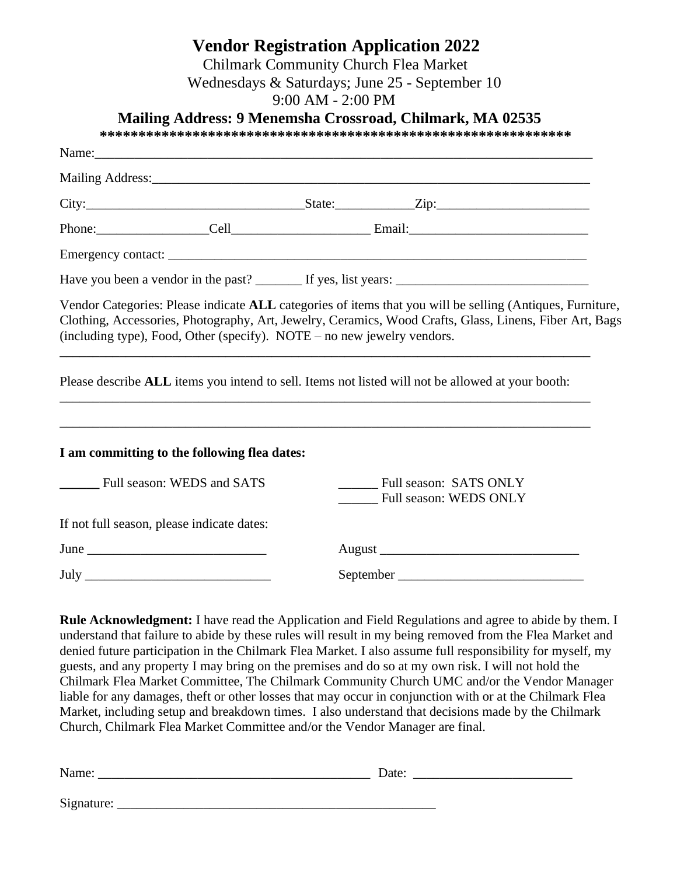# **Vendor Registration Application 2022**

Chilmark Community Church Flea Market

Wednesdays & Saturdays; June 25 - September 10

9:00 AM - 2:00 PM

**Mailing Address: 9 Menemsha Crossroad, Chilmark, MA 02535**

**\*\*\*\*\*\*\*\*\*\*\*\*\*\*\*\*\*\*\*\*\*\*\*\*\*\*\*\*\*\*\*\*\*\*\*\*\*\*\*\*\*\*\*\*\*\*\*\*\*\*\*\*\*\*\*\*\*\*\*\*\***

| (including type), Food, Other (specify). NOTE – no new jewelry vendors. |  | Vendor Categories: Please indicate ALL categories of items that you will be selling (Antiques, Furniture,<br>Clothing, Accessories, Photography, Art, Jewelry, Ceramics, Wood Crafts, Glass, Linens, Fiber Art, Bags<br>,我们也不会有什么。""我们的人,我们也不会有什么?""我们的人,我们也不会有什么?""我们的人,我们也不会有什么?""我们的人,我们也不会有什么?""我们的人 |  |
|-------------------------------------------------------------------------|--|----------------------------------------------------------------------------------------------------------------------------------------------------------------------------------------------------------------------------------------------------------------------------------------------------------|--|
|                                                                         |  | Please describe ALL items you intend to sell. Items not listed will not be allowed at your booth:                                                                                                                                                                                                        |  |
| I am committing to the following flea dates:                            |  |                                                                                                                                                                                                                                                                                                          |  |
| __________ Full season: WEDS and SATS                                   |  | Full season: SATS ONLY<br><b>Full season: WEDS ONLY</b>                                                                                                                                                                                                                                                  |  |
| If not full season, please indicate dates:                              |  |                                                                                                                                                                                                                                                                                                          |  |
|                                                                         |  |                                                                                                                                                                                                                                                                                                          |  |
|                                                                         |  |                                                                                                                                                                                                                                                                                                          |  |
|                                                                         |  |                                                                                                                                                                                                                                                                                                          |  |

**Rule Acknowledgment:** I have read the Application and Field Regulations and agree to abide by them. I understand that failure to abide by these rules will result in my being removed from the Flea Market and denied future participation in the Chilmark Flea Market. I also assume full responsibility for myself, my guests, and any property I may bring on the premises and do so at my own risk. I will not hold the Chilmark Flea Market Committee, The Chilmark Community Church UMC and/or the Vendor Manager liable for any damages, theft or other losses that may occur in conjunction with or at the Chilmark Flea Market, including setup and breakdown times. I also understand that decisions made by the Chilmark Church, Chilmark Flea Market Committee and/or the Vendor Manager are final.

|  | . |  |
|--|---|--|
|  |   |  |

Signature: \_\_\_\_\_\_\_\_\_\_\_\_\_\_\_\_\_\_\_\_\_\_\_\_\_\_\_\_\_\_\_\_\_\_\_\_\_\_\_\_\_\_\_\_\_\_\_\_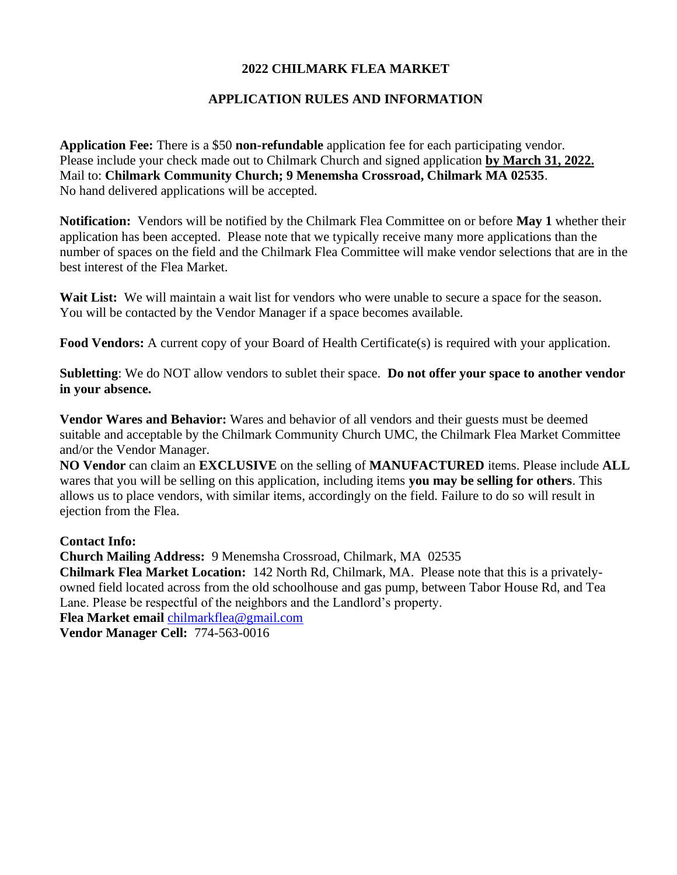### **2022 CHILMARK FLEA MARKET**

# **APPLICATION RULES AND INFORMATION**

**Application Fee:** There is a \$50 **non-refundable** application fee for each participating vendor. Please include your check made out to Chilmark Church and signed application **by March 31, 2022.** Mail to: **Chilmark Community Church; 9 Menemsha Crossroad, Chilmark MA 02535**. No hand delivered applications will be accepted.

**Notification:** Vendors will be notified by the Chilmark Flea Committee on or before **May 1** whether their application has been accepted. Please note that we typically receive many more applications than the number of spaces on the field and the Chilmark Flea Committee will make vendor selections that are in the best interest of the Flea Market.

**Wait List:** We will maintain a wait list for vendors who were unable to secure a space for the season. You will be contacted by the Vendor Manager if a space becomes available.

**Food Vendors:** A current copy of your Board of Health Certificate(s) is required with your application.

**Subletting**: We do NOT allow vendors to sublet their space. **Do not offer your space to another vendor in your absence.**

**Vendor Wares and Behavior:** Wares and behavior of all vendors and their guests must be deemed suitable and acceptable by the Chilmark Community Church UMC, the Chilmark Flea Market Committee and/or the Vendor Manager.

**NO Vendor** can claim an **EXCLUSIVE** on the selling of **MANUFACTURED** items. Please include **ALL**  wares that you will be selling on this application, including items **you may be selling for others**. This allows us to place vendors, with similar items, accordingly on the field. Failure to do so will result in ejection from the Flea.

#### **Contact Info:**

**Church Mailing Address:** 9 Menemsha Crossroad, Chilmark, MA 02535

**Chilmark Flea Market Location:** 142 North Rd, Chilmark, MA. Please note that this is a privatelyowned field located across from the old schoolhouse and gas pump, between Tabor House Rd, and Tea Lane. Please be respectful of the neighbors and the Landlord's property.

**Flea Market email** [chilmarkflea@gmail.com](mailto:chilmarkflea@gmail.com)

**Vendor Manager Cell:** 774-563-0016